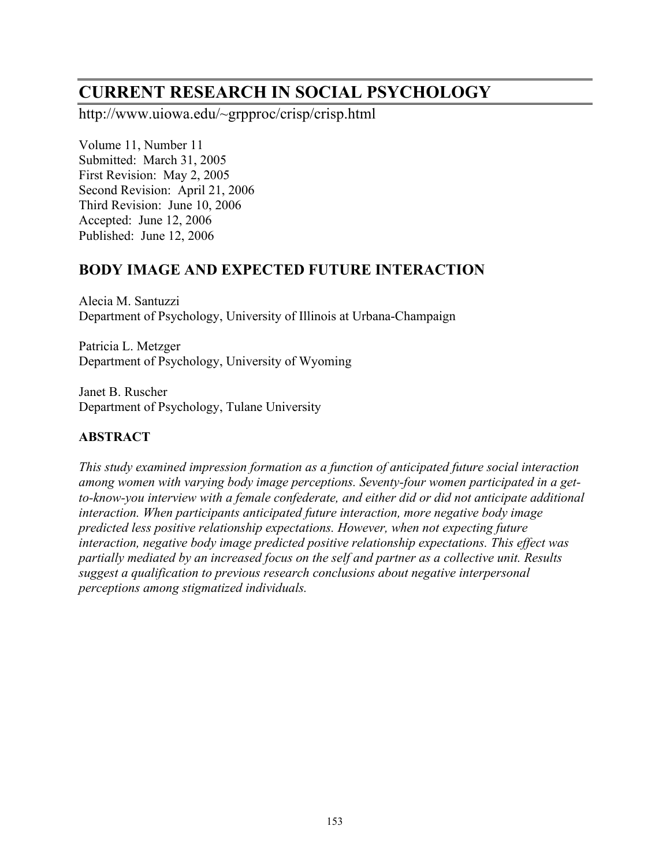# **CURRENT RESEARCH IN SOCIAL PSYCHOLOGY**

http://www.uiowa.edu/~grpproc/crisp/crisp.html

Volume 11, Number 11 Submitted: March 31, 2005 First Revision: May 2, 2005 Second Revision: April 21, 2006 Third Revision: June 10, 2006 Accepted: June 12, 2006 Published: June 12, 2006

## **BODY IMAGE AND EXPECTED FUTURE INTERACTION**

Alecia M. Santuzzi Department of Psychology, University of Illinois at Urbana-Champaign

Patricia L. Metzger Department of Psychology, University of Wyoming

Janet B. Ruscher Department of Psychology, Tulane University

## **ABSTRACT**

*This study examined impression formation as a function of anticipated future social interaction among women with varying body image perceptions. Seventy-four women participated in a getto-know-you interview with a female confederate, and either did or did not anticipate additional interaction. When participants anticipated future interaction, more negative body image predicted less positive relationship expectations. However, when not expecting future interaction, negative body image predicted positive relationship expectations. This effect was partially mediated by an increased focus on the self and partner as a collective unit. Results suggest a qualification to previous research conclusions about negative interpersonal perceptions among stigmatized individuals.*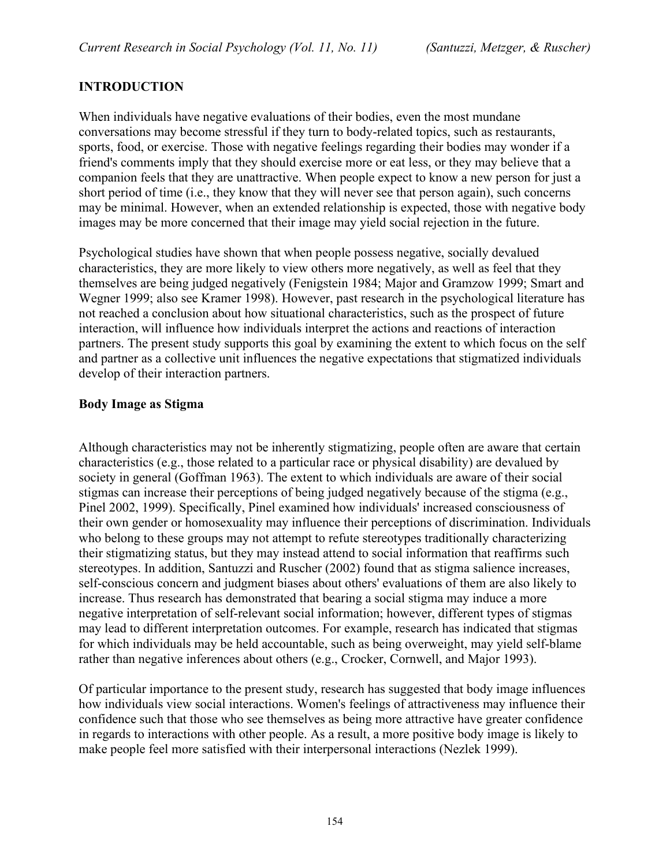## **INTRODUCTION**

When individuals have negative evaluations of their bodies, even the most mundane conversations may become stressful if they turn to body-related topics, such as restaurants, sports, food, or exercise. Those with negative feelings regarding their bodies may wonder if a friend's comments imply that they should exercise more or eat less, or they may believe that a companion feels that they are unattractive. When people expect to know a new person for just a short period of time (i.e., they know that they will never see that person again), such concerns may be minimal. However, when an extended relationship is expected, those with negative body images may be more concerned that their image may yield social rejection in the future.

Psychological studies have shown that when people possess negative, socially devalued characteristics, they are more likely to view others more negatively, as well as feel that they themselves are being judged negatively (Fenigstein 1984; Major and Gramzow 1999; Smart and Wegner 1999; also see Kramer 1998). However, past research in the psychological literature has not reached a conclusion about how situational characteristics, such as the prospect of future interaction, will influence how individuals interpret the actions and reactions of interaction partners. The present study supports this goal by examining the extent to which focus on the self and partner as a collective unit influences the negative expectations that stigmatized individuals develop of their interaction partners.

#### **Body Image as Stigma**

Although characteristics may not be inherently stigmatizing, people often are aware that certain characteristics (e.g., those related to a particular race or physical disability) are devalued by society in general (Goffman 1963). The extent to which individuals are aware of their social stigmas can increase their perceptions of being judged negatively because of the stigma (e.g., Pinel 2002, 1999). Specifically, Pinel examined how individuals' increased consciousness of their own gender or homosexuality may influence their perceptions of discrimination. Individuals who belong to these groups may not attempt to refute stereotypes traditionally characterizing their stigmatizing status, but they may instead attend to social information that reaffirms such stereotypes. In addition, Santuzzi and Ruscher (2002) found that as stigma salience increases, self-conscious concern and judgment biases about others' evaluations of them are also likely to increase. Thus research has demonstrated that bearing a social stigma may induce a more negative interpretation of self-relevant social information; however, different types of stigmas may lead to different interpretation outcomes. For example, research has indicated that stigmas for which individuals may be held accountable, such as being overweight, may yield self-blame rather than negative inferences about others (e.g., Crocker, Cornwell, and Major 1993).

Of particular importance to the present study, research has suggested that body image influences how individuals view social interactions. Women's feelings of attractiveness may influence their confidence such that those who see themselves as being more attractive have greater confidence in regards to interactions with other people. As a result, a more positive body image is likely to make people feel more satisfied with their interpersonal interactions (Nezlek 1999).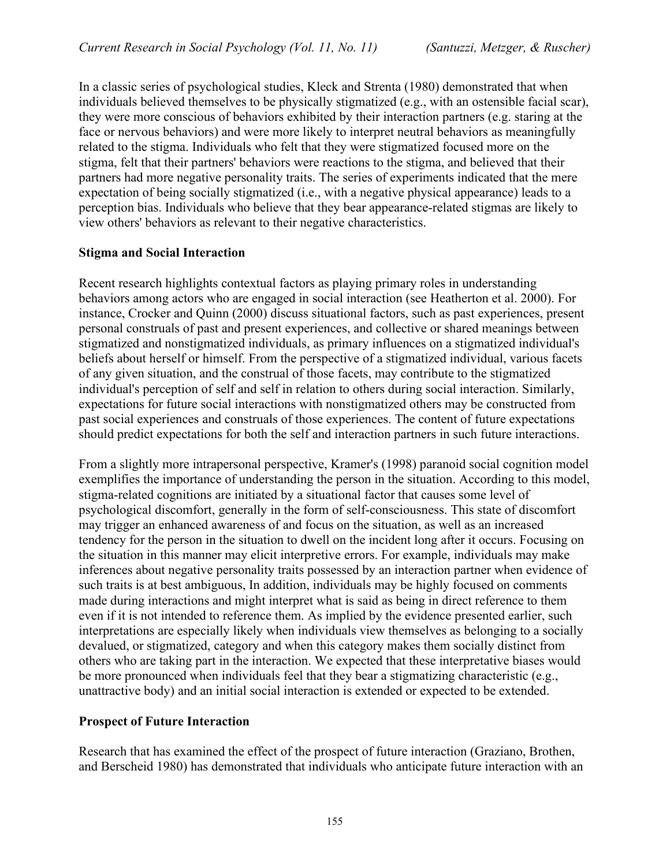In a classic series of psychological studies, Kleck and Strenta (1980) demonstrated that when individuals believed themselves to be physically stigmatized (e.g., with an ostensible facial scar), they were more conscious of behaviors exhibited by their interaction partners (e.g. staring at the face or nervous behaviors) and were more likely to interpret neutral behaviors as meaningfully related to the stigma. Individuals who felt that they were stigmatized focused more on the stigma, felt that their partners' behaviors were reactions to the stigma, and believed that their partners had more negative personality traits. The series of experiments indicated that the mere expectation of being socially stigmatized (i.e., with a negative physical appearance) leads to a perception bias. Individuals who believe that they bear appearance-related stigmas are likely to view others' behaviors as relevant to their negative characteristics.

#### **Stigma and Social Interaction**

Recent research highlights contextual factors as playing primary roles in understanding behaviors among actors who are engaged in social interaction (see Heatherton et al. 2000). For instance, Crocker and Quinn (2000) discuss situational factors, such as past experiences, present personal construals of past and present experiences, and collective or shared meanings between stigmatized and nonstigmatized individuals, as primary influences on a stigmatized individual's beliefs about herself or himself. From the perspective of a stigmatized individual, various facets of any given situation, and the construal of those facets, may contribute to the stigmatized individual's perception of self and self in relation to others during social interaction. Similarly, expectations for future social interactions with nonstigmatized others may be constructed from past social experiences and construals of those experiences. The content of future expectations should predict expectations for both the self and interaction partners in such future interactions.

From a slightly more intrapersonal perspective, Kramer's (1998) paranoid social cognition model exemplifies the importance of understanding the person in the situation. According to this model, stigma-related cognitions are initiated by a situational factor that causes some level of psychological discomfort, generally in the form of self-consciousness. This state of discomfort may trigger an enhanced awareness of and focus on the situation, as well as an increased tendency for the person in the situation to dwell on the incident long after it occurs. Focusing on the situation in this manner may elicit interpretive errors. For example, individuals may make inferences about negative personality traits possessed by an interaction partner when evidence of such traits is at best ambiguous, In addition, individuals may be highly focused on comments made during interactions and might interpret what is said as being in direct reference to them even if it is not intended to reference them. As implied by the evidence presented earlier, such interpretations are especially likely when individuals view themselves as belonging to a socially devalued, or stigmatized, category and when this category makes them socially distinct from others who are taking part in the interaction. We expected that these interpretative biases would be more pronounced when individuals feel that they bear a stigmatizing characteristic (e.g., unattractive body) and an initial social interaction is extended or expected to be extended.

#### **Prospect of Future Interaction**

Research that has examined the effect of the prospect of future interaction (Graziano, Brothen, and Berscheid 1980) has demonstrated that individuals who anticipate future interaction with an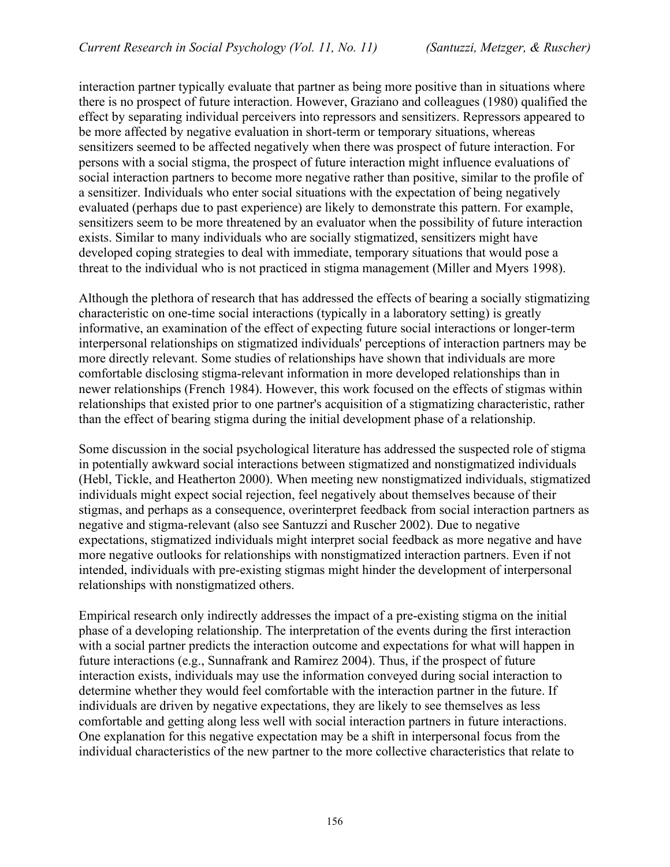interaction partner typically evaluate that partner as being more positive than in situations where there is no prospect of future interaction. However, Graziano and colleagues (1980) qualified the effect by separating individual perceivers into repressors and sensitizers. Repressors appeared to be more affected by negative evaluation in short-term or temporary situations, whereas sensitizers seemed to be affected negatively when there was prospect of future interaction. For persons with a social stigma, the prospect of future interaction might influence evaluations of social interaction partners to become more negative rather than positive, similar to the profile of a sensitizer. Individuals who enter social situations with the expectation of being negatively evaluated (perhaps due to past experience) are likely to demonstrate this pattern. For example, sensitizers seem to be more threatened by an evaluator when the possibility of future interaction exists. Similar to many individuals who are socially stigmatized, sensitizers might have developed coping strategies to deal with immediate, temporary situations that would pose a threat to the individual who is not practiced in stigma management (Miller and Myers 1998).

Although the plethora of research that has addressed the effects of bearing a socially stigmatizing characteristic on one-time social interactions (typically in a laboratory setting) is greatly informative, an examination of the effect of expecting future social interactions or longer-term interpersonal relationships on stigmatized individuals' perceptions of interaction partners may be more directly relevant. Some studies of relationships have shown that individuals are more comfortable disclosing stigma-relevant information in more developed relationships than in newer relationships (French 1984). However, this work focused on the effects of stigmas within relationships that existed prior to one partner's acquisition of a stigmatizing characteristic, rather than the effect of bearing stigma during the initial development phase of a relationship.

Some discussion in the social psychological literature has addressed the suspected role of stigma in potentially awkward social interactions between stigmatized and nonstigmatized individuals (Hebl, Tickle, and Heatherton 2000). When meeting new nonstigmatized individuals, stigmatized individuals might expect social rejection, feel negatively about themselves because of their stigmas, and perhaps as a consequence, overinterpret feedback from social interaction partners as negative and stigma-relevant (also see Santuzzi and Ruscher 2002). Due to negative expectations, stigmatized individuals might interpret social feedback as more negative and have more negative outlooks for relationships with nonstigmatized interaction partners. Even if not intended, individuals with pre-existing stigmas might hinder the development of interpersonal relationships with nonstigmatized others.

Empirical research only indirectly addresses the impact of a pre-existing stigma on the initial phase of a developing relationship. The interpretation of the events during the first interaction with a social partner predicts the interaction outcome and expectations for what will happen in future interactions (e.g., Sunnafrank and Ramirez 2004). Thus, if the prospect of future interaction exists, individuals may use the information conveyed during social interaction to determine whether they would feel comfortable with the interaction partner in the future. If individuals are driven by negative expectations, they are likely to see themselves as less comfortable and getting along less well with social interaction partners in future interactions. One explanation for this negative expectation may be a shift in interpersonal focus from the individual characteristics of the new partner to the more collective characteristics that relate to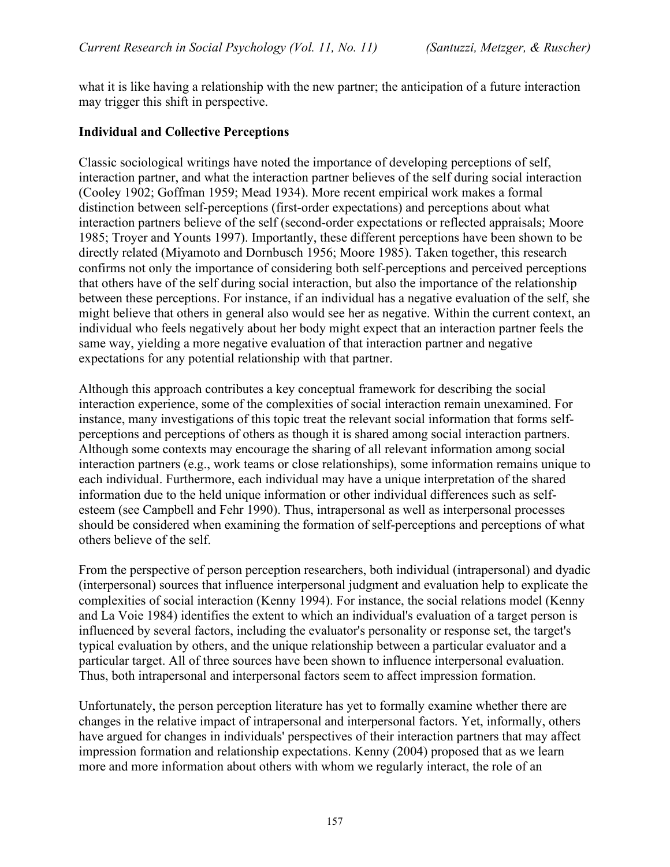what it is like having a relationship with the new partner; the anticipation of a future interaction may trigger this shift in perspective.

#### **Individual and Collective Perceptions**

Classic sociological writings have noted the importance of developing perceptions of self, interaction partner, and what the interaction partner believes of the self during social interaction (Cooley 1902; Goffman 1959; Mead 1934). More recent empirical work makes a formal distinction between self-perceptions (first-order expectations) and perceptions about what interaction partners believe of the self (second-order expectations or reflected appraisals; Moore 1985; Troyer and Younts 1997). Importantly, these different perceptions have been shown to be directly related (Miyamoto and Dornbusch 1956; Moore 1985). Taken together, this research confirms not only the importance of considering both self-perceptions and perceived perceptions that others have of the self during social interaction, but also the importance of the relationship between these perceptions. For instance, if an individual has a negative evaluation of the self, she might believe that others in general also would see her as negative. Within the current context, an individual who feels negatively about her body might expect that an interaction partner feels the same way, yielding a more negative evaluation of that interaction partner and negative expectations for any potential relationship with that partner.

Although this approach contributes a key conceptual framework for describing the social interaction experience, some of the complexities of social interaction remain unexamined. For instance, many investigations of this topic treat the relevant social information that forms selfperceptions and perceptions of others as though it is shared among social interaction partners. Although some contexts may encourage the sharing of all relevant information among social interaction partners (e.g., work teams or close relationships), some information remains unique to each individual. Furthermore, each individual may have a unique interpretation of the shared information due to the held unique information or other individual differences such as selfesteem (see Campbell and Fehr 1990). Thus, intrapersonal as well as interpersonal processes should be considered when examining the formation of self-perceptions and perceptions of what others believe of the self.

From the perspective of person perception researchers, both individual (intrapersonal) and dyadic (interpersonal) sources that influence interpersonal judgment and evaluation help to explicate the complexities of social interaction (Kenny 1994). For instance, the social relations model (Kenny and La Voie 1984) identifies the extent to which an individual's evaluation of a target person is influenced by several factors, including the evaluator's personality or response set, the target's typical evaluation by others, and the unique relationship between a particular evaluator and a particular target. All of three sources have been shown to influence interpersonal evaluation. Thus, both intrapersonal and interpersonal factors seem to affect impression formation.

Unfortunately, the person perception literature has yet to formally examine whether there are changes in the relative impact of intrapersonal and interpersonal factors. Yet, informally, others have argued for changes in individuals' perspectives of their interaction partners that may affect impression formation and relationship expectations. Kenny (2004) proposed that as we learn more and more information about others with whom we regularly interact, the role of an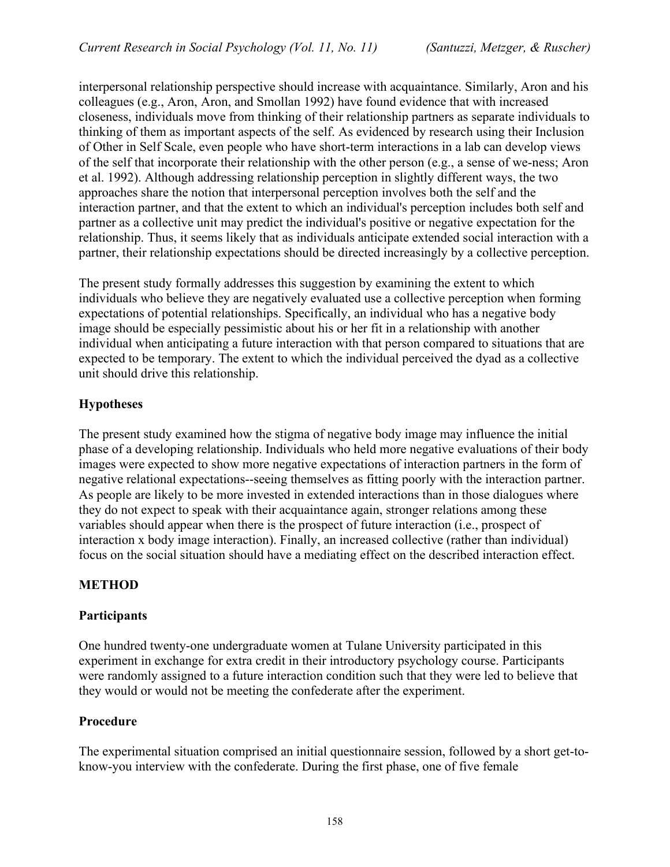interpersonal relationship perspective should increase with acquaintance. Similarly, Aron and his colleagues (e.g., Aron, Aron, and Smollan 1992) have found evidence that with increased closeness, individuals move from thinking of their relationship partners as separate individuals to thinking of them as important aspects of the self. As evidenced by research using their Inclusion of Other in Self Scale, even people who have short-term interactions in a lab can develop views of the self that incorporate their relationship with the other person (e.g., a sense of we-ness; Aron et al. 1992). Although addressing relationship perception in slightly different ways, the two approaches share the notion that interpersonal perception involves both the self and the interaction partner, and that the extent to which an individual's perception includes both self and partner as a collective unit may predict the individual's positive or negative expectation for the relationship. Thus, it seems likely that as individuals anticipate extended social interaction with a partner, their relationship expectations should be directed increasingly by a collective perception.

The present study formally addresses this suggestion by examining the extent to which individuals who believe they are negatively evaluated use a collective perception when forming expectations of potential relationships. Specifically, an individual who has a negative body image should be especially pessimistic about his or her fit in a relationship with another individual when anticipating a future interaction with that person compared to situations that are expected to be temporary. The extent to which the individual perceived the dyad as a collective unit should drive this relationship.

## **Hypotheses**

The present study examined how the stigma of negative body image may influence the initial phase of a developing relationship. Individuals who held more negative evaluations of their body images were expected to show more negative expectations of interaction partners in the form of negative relational expectations--seeing themselves as fitting poorly with the interaction partner. As people are likely to be more invested in extended interactions than in those dialogues where they do not expect to speak with their acquaintance again, stronger relations among these variables should appear when there is the prospect of future interaction (i.e., prospect of interaction x body image interaction). Finally, an increased collective (rather than individual) focus on the social situation should have a mediating effect on the described interaction effect.

## **METHOD**

## **Participants**

One hundred twenty-one undergraduate women at Tulane University participated in this experiment in exchange for extra credit in their introductory psychology course. Participants were randomly assigned to a future interaction condition such that they were led to believe that they would or would not be meeting the confederate after the experiment.

#### **Procedure**

The experimental situation comprised an initial questionnaire session, followed by a short get-toknow-you interview with the confederate. During the first phase, one of five female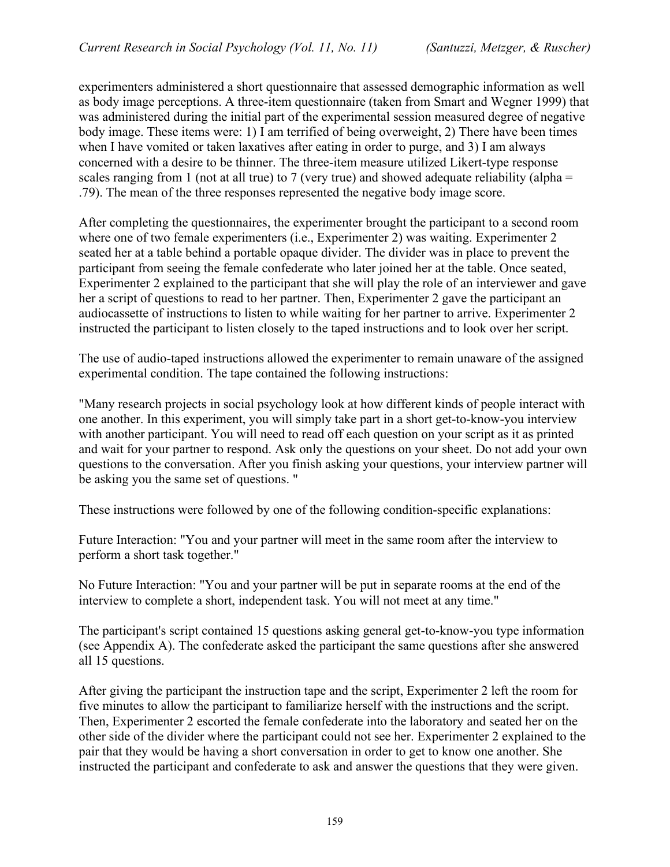experimenters administered a short questionnaire that assessed demographic information as well as body image perceptions. A three-item questionnaire (taken from Smart and Wegner 1999) that was administered during the initial part of the experimental session measured degree of negative body image. These items were: 1) I am terrified of being overweight, 2) There have been times when I have vomited or taken laxatives after eating in order to purge, and 3) I am always concerned with a desire to be thinner. The three-item measure utilized Likert-type response scales ranging from 1 (not at all true) to 7 (very true) and showed adequate reliability (alpha  $=$ .79). The mean of the three responses represented the negative body image score.

After completing the questionnaires, the experimenter brought the participant to a second room where one of two female experimenters (i.e., Experimenter 2) was waiting. Experimenter 2 seated her at a table behind a portable opaque divider. The divider was in place to prevent the participant from seeing the female confederate who later joined her at the table. Once seated, Experimenter 2 explained to the participant that she will play the role of an interviewer and gave her a script of questions to read to her partner. Then, Experimenter 2 gave the participant an audiocassette of instructions to listen to while waiting for her partner to arrive. Experimenter 2 instructed the participant to listen closely to the taped instructions and to look over her script.

The use of audio-taped instructions allowed the experimenter to remain unaware of the assigned experimental condition. The tape contained the following instructions:

"Many research projects in social psychology look at how different kinds of people interact with one another. In this experiment, you will simply take part in a short get-to-know-you interview with another participant. You will need to read off each question on your script as it as printed and wait for your partner to respond. Ask only the questions on your sheet. Do not add your own questions to the conversation. After you finish asking your questions, your interview partner will be asking you the same set of questions. "

These instructions were followed by one of the following condition-specific explanations:

Future Interaction: "You and your partner will meet in the same room after the interview to perform a short task together."

No Future Interaction: "You and your partner will be put in separate rooms at the end of the interview to complete a short, independent task. You will not meet at any time."

The participant's script contained 15 questions asking general get-to-know-you type information (see Appendix A). The confederate asked the participant the same questions after she answered all 15 questions.

After giving the participant the instruction tape and the script, Experimenter 2 left the room for five minutes to allow the participant to familiarize herself with the instructions and the script. Then, Experimenter 2 escorted the female confederate into the laboratory and seated her on the other side of the divider where the participant could not see her. Experimenter 2 explained to the pair that they would be having a short conversation in order to get to know one another. She instructed the participant and confederate to ask and answer the questions that they were given.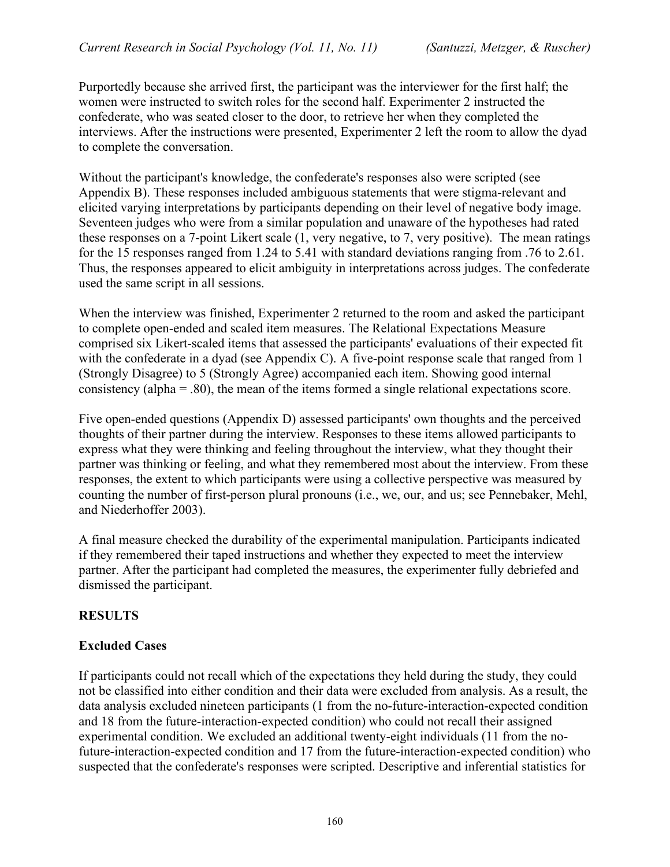Purportedly because she arrived first, the participant was the interviewer for the first half; the women were instructed to switch roles for the second half. Experimenter 2 instructed the confederate, who was seated closer to the door, to retrieve her when they completed the interviews. After the instructions were presented, Experimenter 2 left the room to allow the dyad to complete the conversation.

Without the participant's knowledge, the confederate's responses also were scripted (see Appendix B). These responses included ambiguous statements that were stigma-relevant and elicited varying interpretations by participants depending on their level of negative body image. Seventeen judges who were from a similar population and unaware of the hypotheses had rated these responses on a 7-point Likert scale (1, very negative, to 7, very positive). The mean ratings for the 15 responses ranged from 1.24 to 5.41 with standard deviations ranging from .76 to 2.61. Thus, the responses appeared to elicit ambiguity in interpretations across judges. The confederate used the same script in all sessions.

When the interview was finished, Experimenter 2 returned to the room and asked the participant to complete open-ended and scaled item measures. The Relational Expectations Measure comprised six Likert-scaled items that assessed the participants' evaluations of their expected fit with the confederate in a dyad (see Appendix C). A five-point response scale that ranged from 1 (Strongly Disagree) to 5 (Strongly Agree) accompanied each item. Showing good internal consistency (alpha = .80), the mean of the items formed a single relational expectations score.

Five open-ended questions (Appendix D) assessed participants' own thoughts and the perceived thoughts of their partner during the interview. Responses to these items allowed participants to express what they were thinking and feeling throughout the interview, what they thought their partner was thinking or feeling, and what they remembered most about the interview. From these responses, the extent to which participants were using a collective perspective was measured by counting the number of first-person plural pronouns (i.e., we, our, and us; see Pennebaker, Mehl, and Niederhoffer 2003).

A final measure checked the durability of the experimental manipulation. Participants indicated if they remembered their taped instructions and whether they expected to meet the interview partner. After the participant had completed the measures, the experimenter fully debriefed and dismissed the participant.

## **RESULTS**

#### **Excluded Cases**

If participants could not recall which of the expectations they held during the study, they could not be classified into either condition and their data were excluded from analysis. As a result, the data analysis excluded nineteen participants (1 from the no-future-interaction-expected condition and 18 from the future-interaction-expected condition) who could not recall their assigned experimental condition. We excluded an additional twenty-eight individuals (11 from the nofuture-interaction-expected condition and 17 from the future-interaction-expected condition) who suspected that the confederate's responses were scripted. Descriptive and inferential statistics for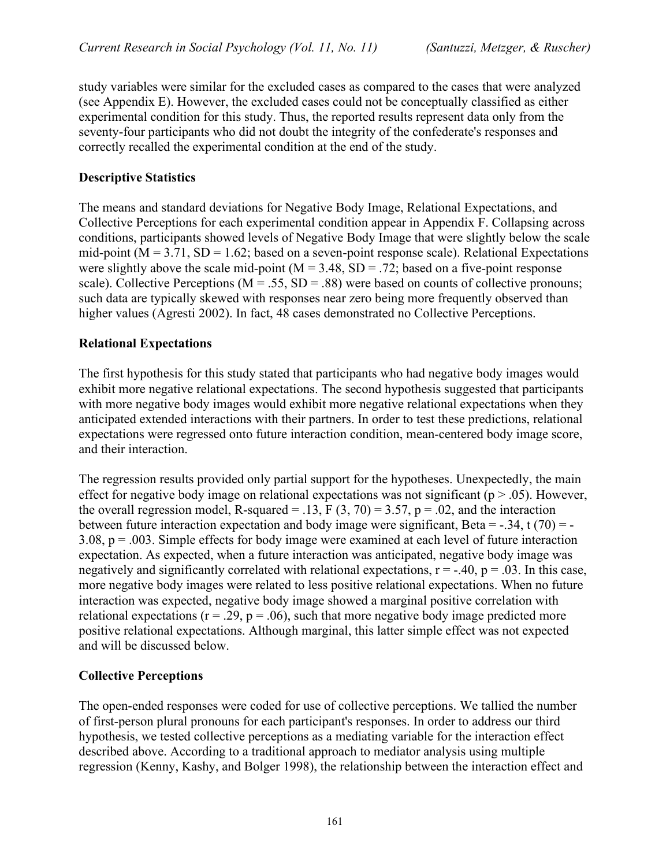study variables were similar for the excluded cases as compared to the cases that were analyzed (see Appendix E). However, the excluded cases could not be conceptually classified as either experimental condition for this study. Thus, the reported results represent data only from the seventy-four participants who did not doubt the integrity of the confederate's responses and correctly recalled the experimental condition at the end of the study.

#### **Descriptive Statistics**

The means and standard deviations for Negative Body Image, Relational Expectations, and Collective Perceptions for each experimental condition appear in Appendix F. Collapsing across conditions, participants showed levels of Negative Body Image that were slightly below the scale mid-point ( $M = 3.71$ ,  $SD = 1.62$ ; based on a seven-point response scale). Relational Expectations were slightly above the scale mid-point  $(M = 3.48, SD = .72$ ; based on a five-point response scale). Collective Perceptions ( $M = .55$ ,  $SD = .88$ ) were based on counts of collective pronouns; such data are typically skewed with responses near zero being more frequently observed than higher values (Agresti 2002). In fact, 48 cases demonstrated no Collective Perceptions.

#### **Relational Expectations**

The first hypothesis for this study stated that participants who had negative body images would exhibit more negative relational expectations. The second hypothesis suggested that participants with more negative body images would exhibit more negative relational expectations when they anticipated extended interactions with their partners. In order to test these predictions, relational expectations were regressed onto future interaction condition, mean-centered body image score, and their interaction.

The regression results provided only partial support for the hypotheses. Unexpectedly, the main effect for negative body image on relational expectations was not significant ( $p > .05$ ). However, the overall regression model, R-squared = .13, F  $(3, 70) = 3.57$ , p = .02, and the interaction between future interaction expectation and body image were significant, Beta =  $-.34$ , t (70) =  $-.34$ 3.08, p = .003. Simple effects for body image were examined at each level of future interaction expectation. As expected, when a future interaction was anticipated, negative body image was negatively and significantly correlated with relational expectations,  $r = -40$ ,  $p = .03$ . In this case, more negative body images were related to less positive relational expectations. When no future interaction was expected, negative body image showed a marginal positive correlation with relational expectations ( $r = .29$ ,  $p = .06$ ), such that more negative body image predicted more positive relational expectations. Although marginal, this latter simple effect was not expected and will be discussed below.

#### **Collective Perceptions**

The open-ended responses were coded for use of collective perceptions. We tallied the number of first-person plural pronouns for each participant's responses. In order to address our third hypothesis, we tested collective perceptions as a mediating variable for the interaction effect described above. According to a traditional approach to mediator analysis using multiple regression (Kenny, Kashy, and Bolger 1998), the relationship between the interaction effect and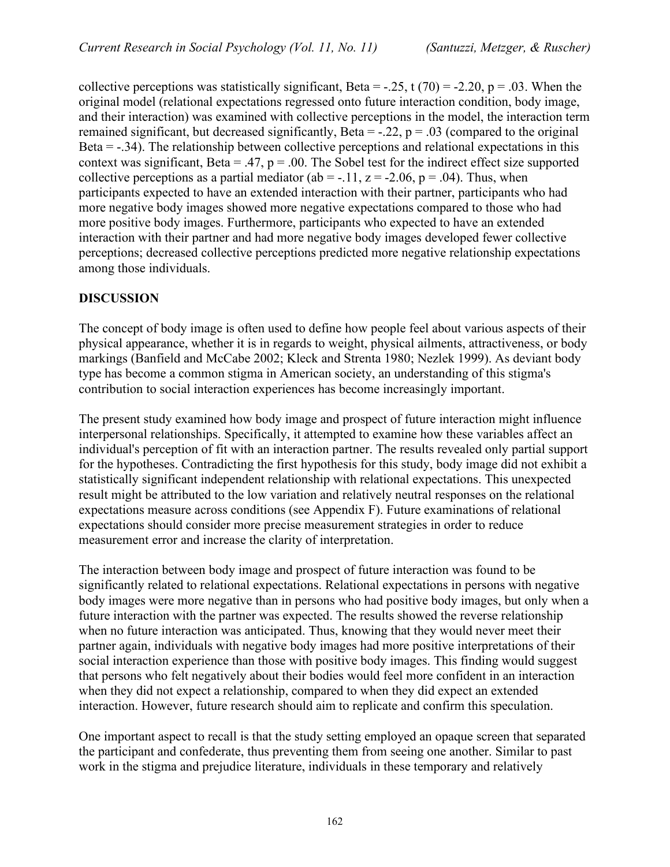collective perceptions was statistically significant, Beta =  $-.25$ , t (70) =  $-2.20$ , p =  $.03$ . When the original model (relational expectations regressed onto future interaction condition, body image, and their interaction) was examined with collective perceptions in the model, the interaction term remained significant, but decreased significantly, Beta =  $-0.22$ , p =  $0.03$  (compared to the original Beta  $= -0.34$ ). The relationship between collective perceptions and relational expectations in this context was significant, Beta = .47,  $p = 0.00$ . The Sobel test for the indirect effect size supported collective perceptions as a partial mediator (ab = -.11,  $z = -2.06$ ,  $p = .04$ ). Thus, when participants expected to have an extended interaction with their partner, participants who had more negative body images showed more negative expectations compared to those who had more positive body images. Furthermore, participants who expected to have an extended interaction with their partner and had more negative body images developed fewer collective perceptions; decreased collective perceptions predicted more negative relationship expectations among those individuals.

## **DISCUSSION**

The concept of body image is often used to define how people feel about various aspects of their physical appearance, whether it is in regards to weight, physical ailments, attractiveness, or body markings (Banfield and McCabe 2002; Kleck and Strenta 1980; Nezlek 1999). As deviant body type has become a common stigma in American society, an understanding of this stigma's contribution to social interaction experiences has become increasingly important.

The present study examined how body image and prospect of future interaction might influence interpersonal relationships. Specifically, it attempted to examine how these variables affect an individual's perception of fit with an interaction partner. The results revealed only partial support for the hypotheses. Contradicting the first hypothesis for this study, body image did not exhibit a statistically significant independent relationship with relational expectations. This unexpected result might be attributed to the low variation and relatively neutral responses on the relational expectations measure across conditions (see Appendix F). Future examinations of relational expectations should consider more precise measurement strategies in order to reduce measurement error and increase the clarity of interpretation.

The interaction between body image and prospect of future interaction was found to be significantly related to relational expectations. Relational expectations in persons with negative body images were more negative than in persons who had positive body images, but only when a future interaction with the partner was expected. The results showed the reverse relationship when no future interaction was anticipated. Thus, knowing that they would never meet their partner again, individuals with negative body images had more positive interpretations of their social interaction experience than those with positive body images. This finding would suggest that persons who felt negatively about their bodies would feel more confident in an interaction when they did not expect a relationship, compared to when they did expect an extended interaction. However, future research should aim to replicate and confirm this speculation.

One important aspect to recall is that the study setting employed an opaque screen that separated the participant and confederate, thus preventing them from seeing one another. Similar to past work in the stigma and prejudice literature, individuals in these temporary and relatively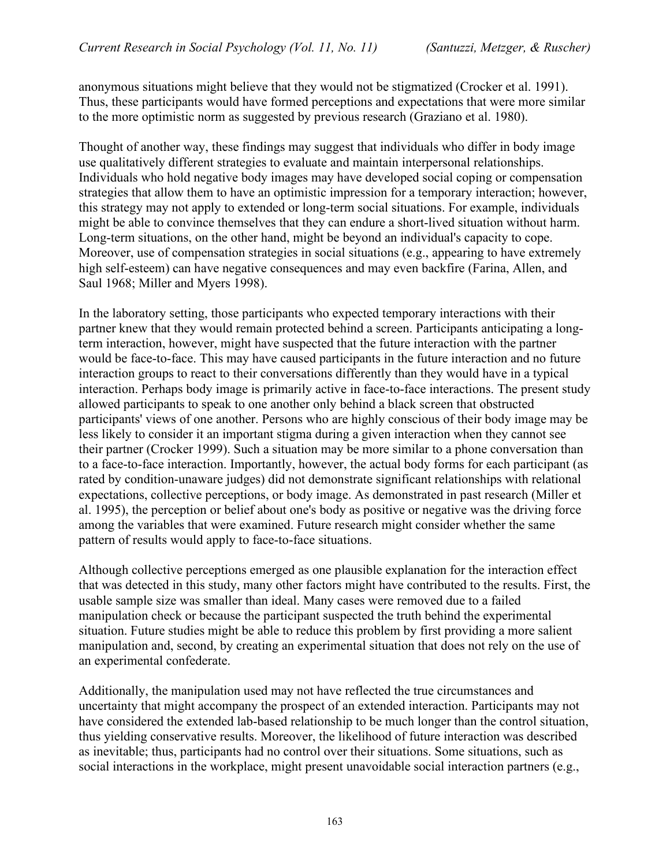anonymous situations might believe that they would not be stigmatized (Crocker et al. 1991). Thus, these participants would have formed perceptions and expectations that were more similar to the more optimistic norm as suggested by previous research (Graziano et al. 1980).

Thought of another way, these findings may suggest that individuals who differ in body image use qualitatively different strategies to evaluate and maintain interpersonal relationships. Individuals who hold negative body images may have developed social coping or compensation strategies that allow them to have an optimistic impression for a temporary interaction; however, this strategy may not apply to extended or long-term social situations. For example, individuals might be able to convince themselves that they can endure a short-lived situation without harm. Long-term situations, on the other hand, might be beyond an individual's capacity to cope. Moreover, use of compensation strategies in social situations (e.g., appearing to have extremely high self-esteem) can have negative consequences and may even backfire (Farina, Allen, and Saul 1968; Miller and Myers 1998).

In the laboratory setting, those participants who expected temporary interactions with their partner knew that they would remain protected behind a screen. Participants anticipating a longterm interaction, however, might have suspected that the future interaction with the partner would be face-to-face. This may have caused participants in the future interaction and no future interaction groups to react to their conversations differently than they would have in a typical interaction. Perhaps body image is primarily active in face-to-face interactions. The present study allowed participants to speak to one another only behind a black screen that obstructed participants' views of one another. Persons who are highly conscious of their body image may be less likely to consider it an important stigma during a given interaction when they cannot see their partner (Crocker 1999). Such a situation may be more similar to a phone conversation than to a face-to-face interaction. Importantly, however, the actual body forms for each participant (as rated by condition-unaware judges) did not demonstrate significant relationships with relational expectations, collective perceptions, or body image. As demonstrated in past research (Miller et al. 1995), the perception or belief about one's body as positive or negative was the driving force among the variables that were examined. Future research might consider whether the same pattern of results would apply to face-to-face situations.

Although collective perceptions emerged as one plausible explanation for the interaction effect that was detected in this study, many other factors might have contributed to the results. First, the usable sample size was smaller than ideal. Many cases were removed due to a failed manipulation check or because the participant suspected the truth behind the experimental situation. Future studies might be able to reduce this problem by first providing a more salient manipulation and, second, by creating an experimental situation that does not rely on the use of an experimental confederate.

Additionally, the manipulation used may not have reflected the true circumstances and uncertainty that might accompany the prospect of an extended interaction. Participants may not have considered the extended lab-based relationship to be much longer than the control situation, thus yielding conservative results. Moreover, the likelihood of future interaction was described as inevitable; thus, participants had no control over their situations. Some situations, such as social interactions in the workplace, might present unavoidable social interaction partners (e.g.,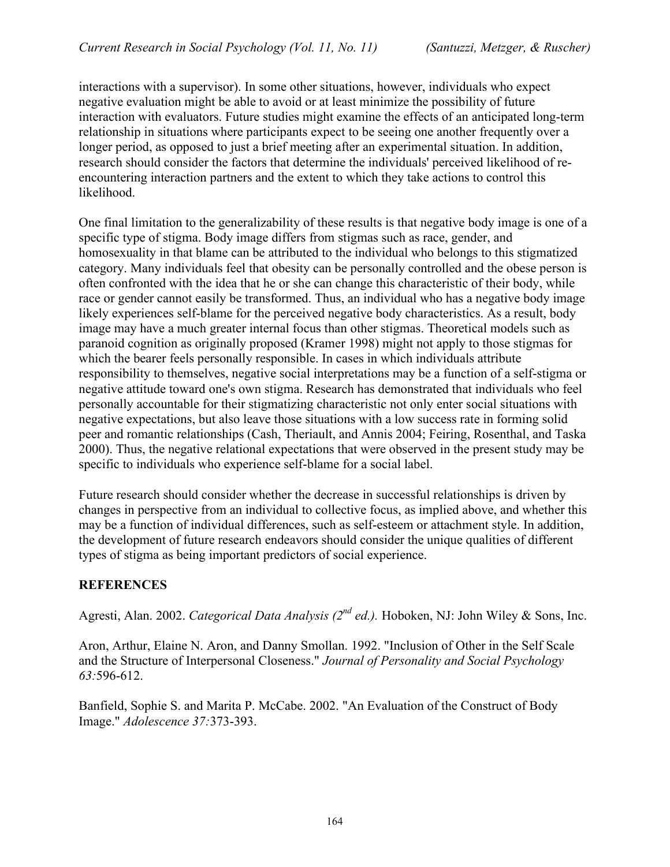interactions with a supervisor). In some other situations, however, individuals who expect negative evaluation might be able to avoid or at least minimize the possibility of future interaction with evaluators. Future studies might examine the effects of an anticipated long-term relationship in situations where participants expect to be seeing one another frequently over a longer period, as opposed to just a brief meeting after an experimental situation. In addition, research should consider the factors that determine the individuals' perceived likelihood of reencountering interaction partners and the extent to which they take actions to control this likelihood.

One final limitation to the generalizability of these results is that negative body image is one of a specific type of stigma. Body image differs from stigmas such as race, gender, and homosexuality in that blame can be attributed to the individual who belongs to this stigmatized category. Many individuals feel that obesity can be personally controlled and the obese person is often confronted with the idea that he or she can change this characteristic of their body, while race or gender cannot easily be transformed. Thus, an individual who has a negative body image likely experiences self-blame for the perceived negative body characteristics. As a result, body image may have a much greater internal focus than other stigmas. Theoretical models such as paranoid cognition as originally proposed (Kramer 1998) might not apply to those stigmas for which the bearer feels personally responsible. In cases in which individuals attribute responsibility to themselves, negative social interpretations may be a function of a self-stigma or negative attitude toward one's own stigma. Research has demonstrated that individuals who feel personally accountable for their stigmatizing characteristic not only enter social situations with negative expectations, but also leave those situations with a low success rate in forming solid peer and romantic relationships (Cash, Theriault, and Annis 2004; Feiring, Rosenthal, and Taska 2000). Thus, the negative relational expectations that were observed in the present study may be specific to individuals who experience self-blame for a social label.

Future research should consider whether the decrease in successful relationships is driven by changes in perspective from an individual to collective focus, as implied above, and whether this may be a function of individual differences, such as self-esteem or attachment style. In addition, the development of future research endeavors should consider the unique qualities of different types of stigma as being important predictors of social experience.

## **REFERENCES**

Agresti, Alan. 2002. *Categorical Data Analysis (2<sup>nd</sup> ed.)*. Hoboken, NJ: John Wiley & Sons, Inc.

Aron, Arthur, Elaine N. Aron, and Danny Smollan. 1992. "Inclusion of Other in the Self Scale and the Structure of Interpersonal Closeness." *Journal of Personality and Social Psychology 63:*596-612.

Banfield, Sophie S. and Marita P. McCabe. 2002. "An Evaluation of the Construct of Body Image." *Adolescence 37:*373-393.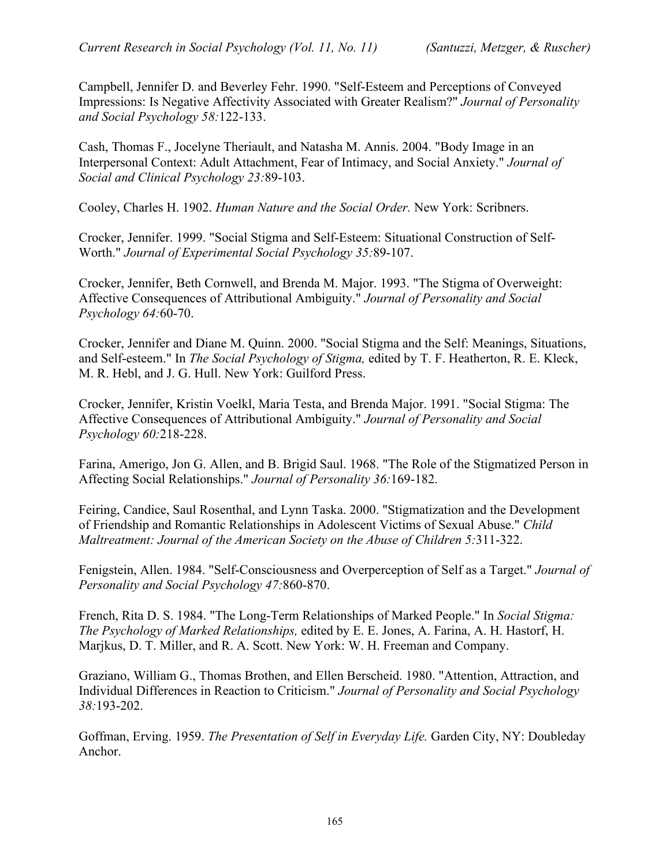Campbell, Jennifer D. and Beverley Fehr. 1990. "Self-Esteem and Perceptions of Conveyed Impressions: Is Negative Affectivity Associated with Greater Realism?" *Journal of Personality and Social Psychology 58:*122-133.

Cash, Thomas F., Jocelyne Theriault, and Natasha M. Annis. 2004. "Body Image in an Interpersonal Context: Adult Attachment, Fear of Intimacy, and Social Anxiety." *Journal of Social and Clinical Psychology 23:*89-103.

Cooley, Charles H. 1902. *Human Nature and the Social Order.* New York: Scribners.

Crocker, Jennifer. 1999. "Social Stigma and Self-Esteem: Situational Construction of Self-Worth." *Journal of Experimental Social Psychology 35:*89-107.

Crocker, Jennifer, Beth Cornwell, and Brenda M. Major. 1993. "The Stigma of Overweight: Affective Consequences of Attributional Ambiguity." *Journal of Personality and Social Psychology 64:*60-70.

Crocker, Jennifer and Diane M. Quinn. 2000. "Social Stigma and the Self: Meanings, Situations, and Self-esteem." In *The Social Psychology of Stigma,* edited by T. F. Heatherton, R. E. Kleck, M. R. Hebl, and J. G. Hull. New York: Guilford Press.

Crocker, Jennifer, Kristin Voelkl, Maria Testa, and Brenda Major. 1991. "Social Stigma: The Affective Consequences of Attributional Ambiguity." *Journal of Personality and Social Psychology 60:*218-228.

Farina, Amerigo, Jon G. Allen, and B. Brigid Saul. 1968. "The Role of the Stigmatized Person in Affecting Social Relationships." *Journal of Personality 36:*169-182.

Feiring, Candice, Saul Rosenthal, and Lynn Taska. 2000. "Stigmatization and the Development of Friendship and Romantic Relationships in Adolescent Victims of Sexual Abuse." *Child Maltreatment: Journal of the American Society on the Abuse of Children 5:*311-322.

Fenigstein, Allen. 1984. "Self-Consciousness and Overperception of Self as a Target." *Journal of Personality and Social Psychology 47:*860-870.

French, Rita D. S. 1984. "The Long-Term Relationships of Marked People." In *Social Stigma: The Psychology of Marked Relationships,* edited by E. E. Jones, A. Farina, A. H. Hastorf, H. Marjkus, D. T. Miller, and R. A. Scott. New York: W. H. Freeman and Company.

Graziano, William G., Thomas Brothen, and Ellen Berscheid. 1980. "Attention, Attraction, and Individual Differences in Reaction to Criticism." *Journal of Personality and Social Psychology 38:*193-202.

Goffman, Erving. 1959. *The Presentation of Self in Everyday Life.* Garden City, NY: Doubleday Anchor.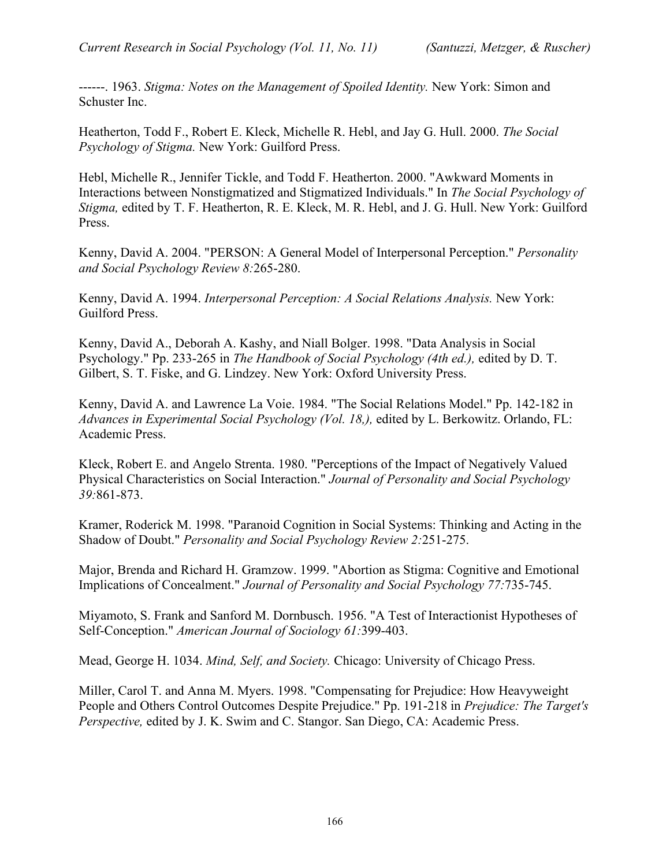------. 1963. *Stigma: Notes on the Management of Spoiled Identity.* New York: Simon and Schuster Inc.

Heatherton, Todd F., Robert E. Kleck, Michelle R. Hebl, and Jay G. Hull. 2000. *The Social Psychology of Stigma.* New York: Guilford Press.

Hebl, Michelle R., Jennifer Tickle, and Todd F. Heatherton. 2000. "Awkward Moments in Interactions between Nonstigmatized and Stigmatized Individuals." In *The Social Psychology of Stigma,* edited by T. F. Heatherton, R. E. Kleck, M. R. Hebl, and J. G. Hull. New York: Guilford Press.

Kenny, David A. 2004. "PERSON: A General Model of Interpersonal Perception." *Personality and Social Psychology Review 8:*265-280.

Kenny, David A. 1994. *Interpersonal Perception: A Social Relations Analysis.* New York: Guilford Press.

Kenny, David A., Deborah A. Kashy, and Niall Bolger. 1998. "Data Analysis in Social Psychology." Pp. 233-265 in *The Handbook of Social Psychology (4th ed.),* edited by D. T. Gilbert, S. T. Fiske, and G. Lindzey. New York: Oxford University Press.

Kenny, David A. and Lawrence La Voie. 1984. "The Social Relations Model." Pp. 142-182 in *Advances in Experimental Social Psychology (Vol. 18,),* edited by L. Berkowitz. Orlando, FL: Academic Press.

Kleck, Robert E. and Angelo Strenta. 1980. "Perceptions of the Impact of Negatively Valued Physical Characteristics on Social Interaction." *Journal of Personality and Social Psychology 39:*861-873.

Kramer, Roderick M. 1998. "Paranoid Cognition in Social Systems: Thinking and Acting in the Shadow of Doubt." *Personality and Social Psychology Review 2:*251-275.

Major, Brenda and Richard H. Gramzow. 1999. "Abortion as Stigma: Cognitive and Emotional Implications of Concealment." *Journal of Personality and Social Psychology 77:*735-745.

Miyamoto, S. Frank and Sanford M. Dornbusch. 1956. "A Test of Interactionist Hypotheses of Self-Conception." *American Journal of Sociology 61:*399-403.

Mead, George H. 1034. *Mind, Self, and Society.* Chicago: University of Chicago Press.

Miller, Carol T. and Anna M. Myers. 1998. "Compensating for Prejudice: How Heavyweight People and Others Control Outcomes Despite Prejudice." Pp. 191-218 in *Prejudice: The Target's Perspective,* edited by J. K. Swim and C. Stangor. San Diego, CA: Academic Press.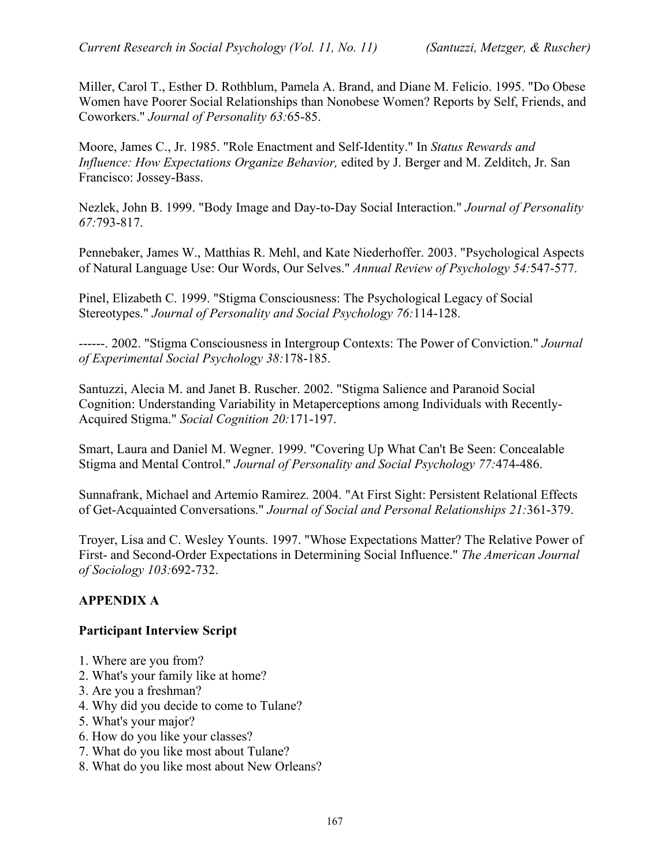Miller, Carol T., Esther D. Rothblum, Pamela A. Brand, and Diane M. Felicio. 1995. "Do Obese Women have Poorer Social Relationships than Nonobese Women? Reports by Self, Friends, and Coworkers." *Journal of Personality 63:*65-85.

Moore, James C., Jr. 1985. "Role Enactment and Self-Identity." In *Status Rewards and Influence: How Expectations Organize Behavior,* edited by J. Berger and M. Zelditch, Jr. San Francisco: Jossey-Bass.

Nezlek, John B. 1999. "Body Image and Day-to-Day Social Interaction." *Journal of Personality 67:*793-817.

Pennebaker, James W., Matthias R. Mehl, and Kate Niederhoffer. 2003. "Psychological Aspects of Natural Language Use: Our Words, Our Selves." *Annual Review of Psychology 54:*547-577.

Pinel, Elizabeth C. 1999. "Stigma Consciousness: The Psychological Legacy of Social Stereotypes." *Journal of Personality and Social Psychology 76:*114-128.

------. 2002. "Stigma Consciousness in Intergroup Contexts: The Power of Conviction." *Journal of Experimental Social Psychology 38:*178-185.

Santuzzi, Alecia M. and Janet B. Ruscher. 2002. "Stigma Salience and Paranoid Social Cognition: Understanding Variability in Metaperceptions among Individuals with Recently-Acquired Stigma." *Social Cognition 20:*171-197.

Smart, Laura and Daniel M. Wegner. 1999. "Covering Up What Can't Be Seen: Concealable Stigma and Mental Control." *Journal of Personality and Social Psychology 77:*474-486.

Sunnafrank, Michael and Artemio Ramirez. 2004. "At First Sight: Persistent Relational Effects of Get-Acquainted Conversations." *Journal of Social and Personal Relationships 21:*361-379.

Troyer, Lisa and C. Wesley Younts. 1997. "Whose Expectations Matter? The Relative Power of First- and Second-Order Expectations in Determining Social Influence." *The American Journal of Sociology 103:*692-732.

## **APPENDIX A**

#### **Participant Interview Script**

- 1. Where are you from?
- 2. What's your family like at home?
- 3. Are you a freshman?
- 4. Why did you decide to come to Tulane?
- 5. What's your major?
- 6. How do you like your classes?
- 7. What do you like most about Tulane?
- 8. What do you like most about New Orleans?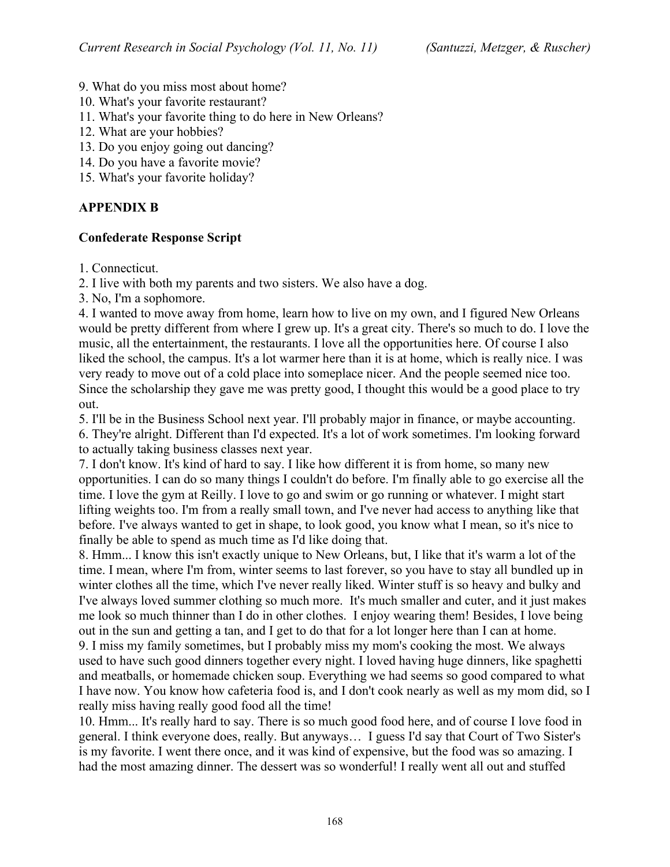- 9. What do you miss most about home?
- 10. What's your favorite restaurant?
- 11. What's your favorite thing to do here in New Orleans?
- 12. What are your hobbies?
- 13. Do you enjoy going out dancing?
- 14. Do you have a favorite movie?
- 15. What's your favorite holiday?

#### **APPENDIX B**

#### **Confederate Response Script**

1. Connecticut.

- 2. I live with both my parents and two sisters. We also have a dog.
- 3. No, I'm a sophomore.

4. I wanted to move away from home, learn how to live on my own, and I figured New Orleans would be pretty different from where I grew up. It's a great city. There's so much to do. I love the music, all the entertainment, the restaurants. I love all the opportunities here. Of course I also liked the school, the campus. It's a lot warmer here than it is at home, which is really nice. I was very ready to move out of a cold place into someplace nicer. And the people seemed nice too. Since the scholarship they gave me was pretty good, I thought this would be a good place to try out.

5. I'll be in the Business School next year. I'll probably major in finance, or maybe accounting. 6. They're alright. Different than I'd expected. It's a lot of work sometimes. I'm looking forward to actually taking business classes next year.

7. I don't know. It's kind of hard to say. I like how different it is from home, so many new opportunities. I can do so many things I couldn't do before. I'm finally able to go exercise all the time. I love the gym at Reilly. I love to go and swim or go running or whatever. I might start lifting weights too. I'm from a really small town, and I've never had access to anything like that before. I've always wanted to get in shape, to look good, you know what I mean, so it's nice to finally be able to spend as much time as I'd like doing that.

8. Hmm... I know this isn't exactly unique to New Orleans, but, I like that it's warm a lot of the time. I mean, where I'm from, winter seems to last forever, so you have to stay all bundled up in winter clothes all the time, which I've never really liked. Winter stuff is so heavy and bulky and I've always loved summer clothing so much more. It's much smaller and cuter, and it just makes me look so much thinner than I do in other clothes. I enjoy wearing them! Besides, I love being out in the sun and getting a tan, and I get to do that for a lot longer here than I can at home. 9. I miss my family sometimes, but I probably miss my mom's cooking the most. We always used to have such good dinners together every night. I loved having huge dinners, like spaghetti and meatballs, or homemade chicken soup. Everything we had seems so good compared to what I have now. You know how cafeteria food is, and I don't cook nearly as well as my mom did, so I really miss having really good food all the time!

10. Hmm... It's really hard to say. There is so much good food here, and of course I love food in general. I think everyone does, really. But anyways… I guess I'd say that Court of Two Sister's is my favorite. I went there once, and it was kind of expensive, but the food was so amazing. I had the most amazing dinner. The dessert was so wonderful! I really went all out and stuffed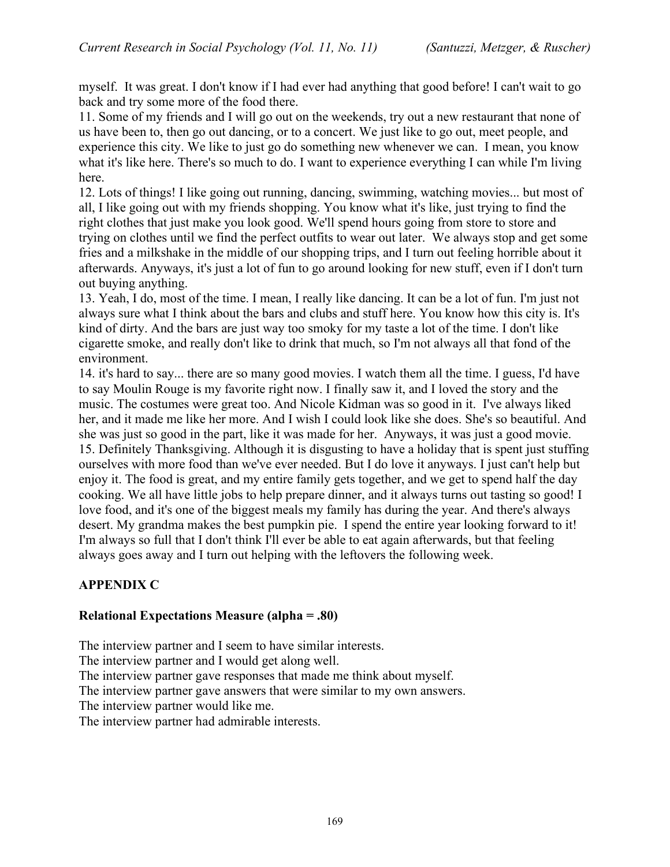myself. It was great. I don't know if I had ever had anything that good before! I can't wait to go back and try some more of the food there.

11. Some of my friends and I will go out on the weekends, try out a new restaurant that none of us have been to, then go out dancing, or to a concert. We just like to go out, meet people, and experience this city. We like to just go do something new whenever we can. I mean, you know what it's like here. There's so much to do. I want to experience everything I can while I'm living here.

12. Lots of things! I like going out running, dancing, swimming, watching movies... but most of all, I like going out with my friends shopping. You know what it's like, just trying to find the right clothes that just make you look good. We'll spend hours going from store to store and trying on clothes until we find the perfect outfits to wear out later. We always stop and get some fries and a milkshake in the middle of our shopping trips, and I turn out feeling horrible about it afterwards. Anyways, it's just a lot of fun to go around looking for new stuff, even if I don't turn out buying anything.

13. Yeah, I do, most of the time. I mean, I really like dancing. It can be a lot of fun. I'm just not always sure what I think about the bars and clubs and stuff here. You know how this city is. It's kind of dirty. And the bars are just way too smoky for my taste a lot of the time. I don't like cigarette smoke, and really don't like to drink that much, so I'm not always all that fond of the environment.

14. it's hard to say... there are so many good movies. I watch them all the time. I guess, I'd have to say Moulin Rouge is my favorite right now. I finally saw it, and I loved the story and the music. The costumes were great too. And Nicole Kidman was so good in it. I've always liked her, and it made me like her more. And I wish I could look like she does. She's so beautiful. And she was just so good in the part, like it was made for her. Anyways, it was just a good movie. 15. Definitely Thanksgiving. Although it is disgusting to have a holiday that is spent just stuffing ourselves with more food than we've ever needed. But I do love it anyways. I just can't help but enjoy it. The food is great, and my entire family gets together, and we get to spend half the day cooking. We all have little jobs to help prepare dinner, and it always turns out tasting so good! I love food, and it's one of the biggest meals my family has during the year. And there's always desert. My grandma makes the best pumpkin pie. I spend the entire year looking forward to it! I'm always so full that I don't think I'll ever be able to eat again afterwards, but that feeling always goes away and I turn out helping with the leftovers the following week.

## **APPENDIX C**

#### **Relational Expectations Measure (alpha = .80)**

The interview partner and I seem to have similar interests.

The interview partner and I would get along well.

The interview partner gave responses that made me think about myself.

The interview partner gave answers that were similar to my own answers.

The interview partner would like me.

The interview partner had admirable interests.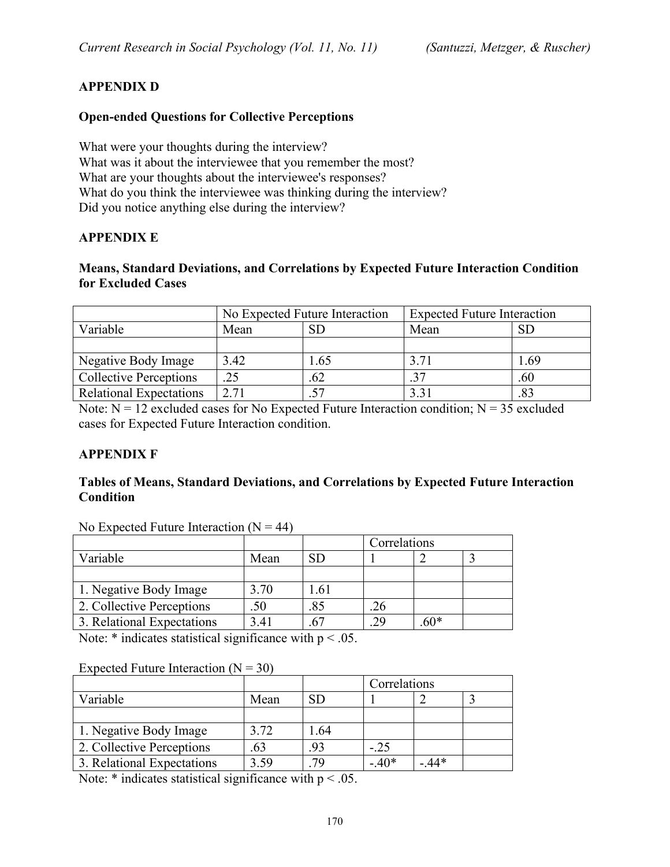## **APPENDIX D**

#### **Open-ended Questions for Collective Perceptions**

What were your thoughts during the interview? What was it about the interviewee that you remember the most? What are your thoughts about the interviewee's responses? What do you think the interviewee was thinking during the interview? Did you notice anything else during the interview?

#### **APPENDIX E**

#### **Means, Standard Deviations, and Correlations by Expected Future Interaction Condition for Excluded Cases**

|                                | No Expected Future Interaction |           | <b>Expected Future Interaction</b> |           |
|--------------------------------|--------------------------------|-----------|------------------------------------|-----------|
| Variable                       | Mean                           | <b>SD</b> | Mean                               | <b>SD</b> |
|                                |                                |           |                                    |           |
| Negative Body Image            | 3.42                           | 1.65      | 3.71                               | .69       |
| <b>Collective Perceptions</b>  | .25                            | .62       | 37                                 | .60       |
| <b>Relational Expectations</b> | 2.71                           |           | 3.31                               | .83       |

Note:  $N = 12$  excluded cases for No Expected Future Interaction condition;  $N = 35$  excluded cases for Expected Future Interaction condition.

#### **APPENDIX F**

#### **Tables of Means, Standard Deviations, and Correlations by Expected Future Interaction Condition**

| $110$ Expected I and Chronical $111$ |      |      |              |        |  |
|--------------------------------------|------|------|--------------|--------|--|
|                                      |      |      | Correlations |        |  |
| Variable                             | Mean | SD   |              |        |  |
|                                      |      |      |              |        |  |
| 1. Negative Body Image               | 3.70 | 1.61 |              |        |  |
| 2. Collective Perceptions            | .50  | .85  | .26          |        |  |
| 3. Relational Expectations           | 3.41 | .67  | .29          | $.60*$ |  |
|                                      |      |      |              |        |  |

No Expected Future Interaction  $(N = 44)$ 

Note:  $*$  indicates statistical significance with  $p < .05$ .

#### Expected Future Interaction  $(N = 30)$

|                            |      |     | Correlations |        |  |
|----------------------------|------|-----|--------------|--------|--|
| Variable                   | Mean |     |              |        |  |
|                            |      |     |              |        |  |
| 1. Negative Body Image     | 3.72 | .64 |              |        |  |
| 2. Collective Perceptions  | 63   | .93 | $-.25$       |        |  |
| 3. Relational Expectations | 3.59 | 70  | $-40*$       | $.44*$ |  |

Note:  $*$  indicates statistical significance with  $p < .05$ .